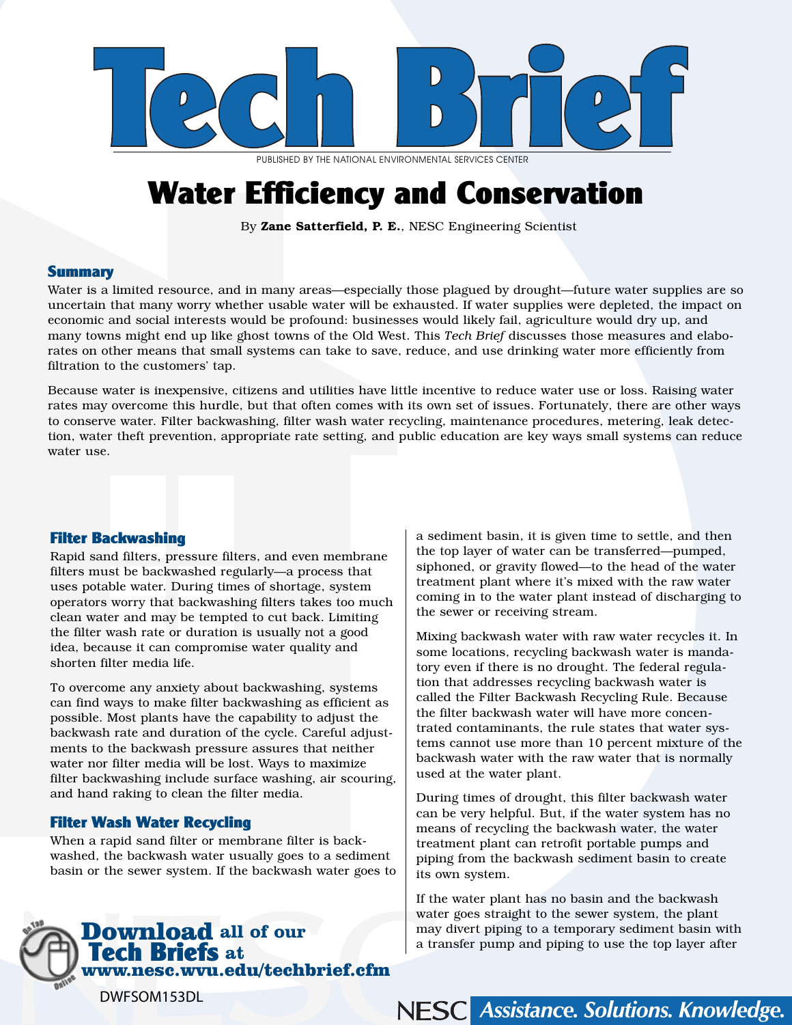

PUBLISHED BY THE NATIONAL ENVIRONMENTAL SERVICES CENTER

# Water Efficiency and Conservation

By Zane Satterfield, P. E., NESC Engineering Scientist

#### **Summary**

Water is a limited resource, and in many areas—especially those plagued by drought—future water supplies are so uncertain that many worry whether usable water will be exhausted. If water supplies were depleted, the impact on economic and social interests would be profound: businesses would likely fail, agriculture would dry up, and many towns might end up like ghost towns of the Old West. This *Tech Brief* discusses those measures and elaborates on other means that small systems can take to save, reduce, and use drinking water more efficiently from filtration to the customers' tap.

Because water is inexpensive, citizens and utilities have little incentive to reduce water use or loss. Raising water rates may overcome this hurdle, but that often comes with its own set of issues. Fortunately, there are other ways to conserve water. Filter backwashing, filter wash water recycling, maintenance procedures, metering, leak detection, water theft prevention, appropriate rate setting, and public education are key ways small systems can reduce water use.

#### Filter Backwashing

Rapid sand filters, pressure filters, and even membrane filters must be backwashed regularly—a process that uses potable water. During times of shortage, system operators worry that backwashing filters takes too much clean water and may be tempted to cut back. Limiting the filter wash rate or duration is usually not a good idea, because it can compromise water quality and shorten filter media life.

To overcome any anxiety about backwashing, systems can find ways to make filter backwashing as efficient as possible. Most plants have the capability to adjust the backwash rate and duration of the cycle. Careful adjustments to the backwash pressure assures that neither water nor filter media will be lost. Ways to maximize filter backwashing include surface washing, air scouring, and hand raking to clean the filter media.

#### Filter Wash Water Recycling

When a rapid sand filter or membrane filter is backwashed, the backwash water usually goes to a sediment basin or the sewer system. If the backwash water goes to



a sediment basin, it is given time to settle, and then the top layer of water can be transferred—pumped, siphoned, or gravity flowed—to the head of the water treatment plant where it's mixed with the raw water coming in to the water plant instead of discharging to the sewer or receiving stream.

Mixing backwash water with raw water recycles it. In some locations, recycling backwash water is mandatory even if there is no drought. The federal regulation that addresses recycling backwash water is called the Filter Backwash Recycling Rule. Because the filter backwash water will have more concentrated contaminants, the rule states that water systems cannot use more than 10 percent mixture of the backwash water with the raw water that is normally used at the water plant.

During times of drought, this filter backwash water can be very helpful. But, if the water system has no means of recycling the backwash water, the water treatment plant can retrofit portable pumps and piping from the backwash sediment basin to create its own system.

If the water plant has no basin and the backwash water goes straight to the sewer system, the plant may divert piping to a temporary sediment basin with a transfer pump and piping to use the top layer after

NESC Assistance. Solutions. Knowledge.

DWFSOM153DL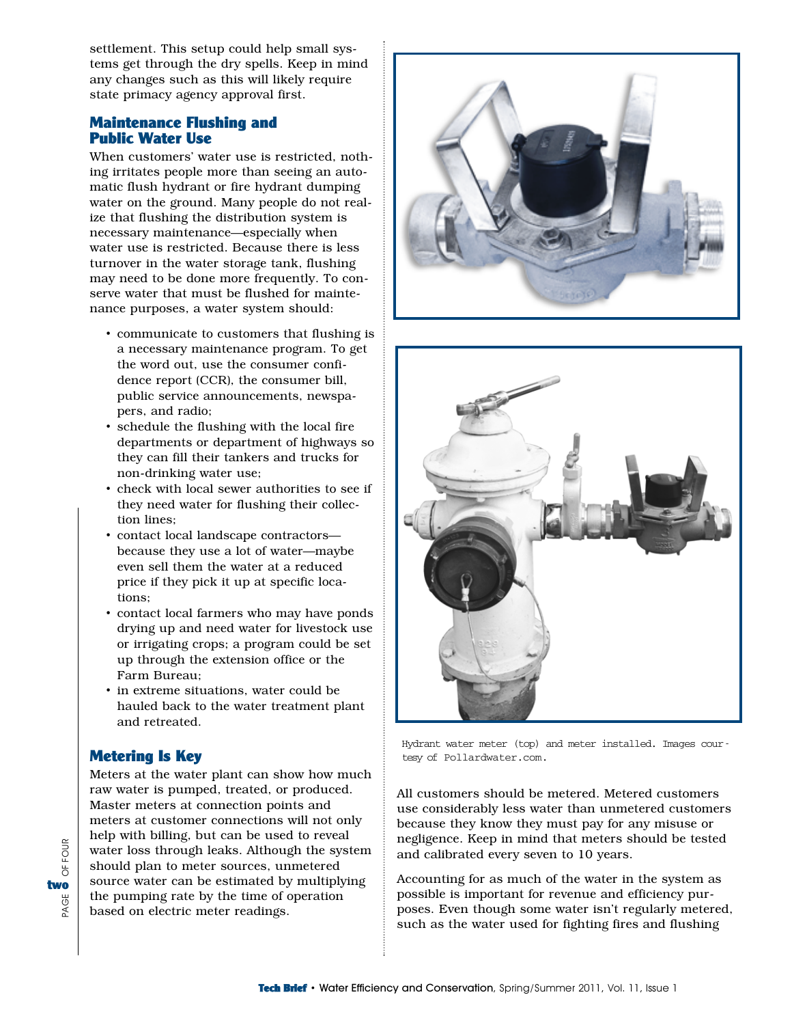settlement. This setup could help small systems get through the dry spells. Keep in mind any changes such as this will likely require state primacy agency approval first.

#### Maintenance Flushing and Public Water Use

When customers' water use is restricted, nothing irritates people more than seeing an automatic flush hydrant or fire hydrant dumping water on the ground. Many people do not realize that flushing the distribution system is necessary maintenance—especially when water use is restricted. Because there is less turnover in the water storage tank, flushing may need to be done more frequently. To conserve water that must be flushed for maintenance purposes, a water system should:

- communicate to customers that flushing is a necessary maintenance program. To get the word out, use the consumer confidence report (CCR), the consumer bill, public service announcements, newspapers, and radio;
- schedule the flushing with the local fire departments or department of highways so they can fill their tankers and trucks for non-drinking water use;
- check with local sewer authorities to see if they need water for flushing their collection lines;
- contact local landscape contractors because they use a lot of water—maybe even sell them the water at a reduced price if they pick it up at specific locations;
- contact local farmers who may have ponds drying up and need water for livestock use or irrigating crops; a program could be set up through the extension office or the Farm Bureau;
- in extreme situations, water could be hauled back to the water treatment plant and retreated.

## Metering Is Key

Meters at the water plant can show how much raw water is pumped, treated, or produced. Master meters at connection points and meters at customer connections will not only help with billing, but can be used to reveal water loss through leaks. Although the system should plan to meter sources, unmetered source water can be estimated by multiplying the pumping rate by the time of operation based on electric meter readings.





Hydrant water meter (top) and meter installed. Images courtesy of Pollardwater.com.

All customers should be metered. Metered customers use considerably less water than unmetered customers because they know they must pay for any misuse or negligence. Keep in mind that meters should be tested and calibrated every seven to 10 years.

Accounting for as much of the water in the system as possible is important for revenue and efficiency purposes. Even though some water isn't regularly metered, such as the water used for fighting fires and flushing

OF FOUR PAGE OF FOUR two<br>گ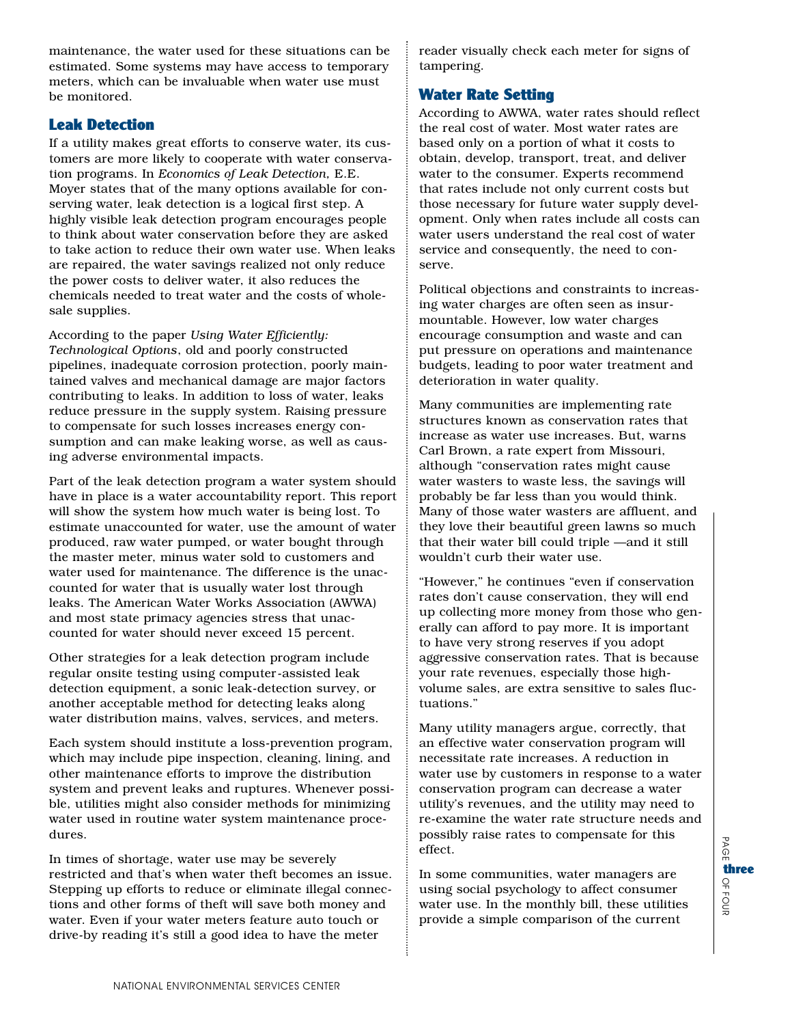maintenance, the water used for these situations can be estimated. Some systems may have access to temporary meters, which can be invaluable when water use must be monitored.

## Leak Detection

If a utility makes great efforts to conserve water, its customers are more likely to cooperate with water conservation programs. In *Economics of Leak Detection,* E.E. Moyer states that of the many options available for conserving water, leak detection is a logical first step. A highly visible leak detection program encourages people to think about water conservation before they are asked to take action to reduce their own water use. When leaks are repaired, the water savings realized not only reduce the power costs to deliver water, it also reduces the chemicals needed to treat water and the costs of wholesale supplies.

According to the paper *Using Water Efficiently: Technological Options*, old and poorly constructed pipelines, inadequate corrosion protection, poorly maintained valves and mechanical damage are major factors contributing to leaks. In addition to loss of water, leaks reduce pressure in the supply system. Raising pressure to compensate for such losses increases energy consumption and can make leaking worse, as well as causing adverse environmental impacts.

Part of the leak detection program a water system should have in place is a water accountability report. This report will show the system how much water is being lost. To estimate unaccounted for water, use the amount of water produced, raw water pumped, or water bought through the master meter, minus water sold to customers and water used for maintenance. The difference is the unaccounted for water that is usually water lost through leaks. The American Water Works Association (AWWA) and most state primacy agencies stress that unaccounted for water should never exceed 15 percent.

Other strategies for a leak detection program include regular onsite testing using computer-assisted leak detection equipment, a sonic leak-detection survey, or another acceptable method for detecting leaks along water distribution mains, valves, services, and meters.

Each system should institute a loss-prevention program, which may include pipe inspection, cleaning, lining, and other maintenance efforts to improve the distribution system and prevent leaks and ruptures. Whenever possible, utilities might also consider methods for minimizing water used in routine water system maintenance procedures.

In times of shortage, water use may be severely restricted and that's when water theft becomes an issue. Stepping up efforts to reduce or eliminate illegal connections and other forms of theft will save both money and water. Even if your water meters feature auto touch or drive-by reading it's still a good idea to have the meter

reader visually check each meter for signs of tampering.

## Water Rate Setting

According to AWWA, water rates should reflect the real cost of water. Most water rates are based only on a portion of what it costs to obtain, develop, transport, treat, and deliver water to the consumer. Experts recommend that rates include not only current costs but those necessary for future water supply development. Only when rates include all costs can water users understand the real cost of water service and consequently, the need to conserve.

Political objections and constraints to increasing water charges are often seen as insurmountable. However, low water charges encourage consumption and waste and can put pressure on operations and maintenance budgets, leading to poor water treatment and deterioration in water quality.

Many communities are implementing rate structures known as conservation rates that increase as water use increases. But, warns Carl Brown, a rate expert from Missouri, although "conservation rates might cause water wasters to waste less, the savings will probably be far less than you would think. Many of those water wasters are affluent, and they love their beautiful green lawns so much that their water bill could triple —and it still wouldn't curb their water use.

"However," he continues "even if conservation rates don't cause conservation, they will end up collecting more money from those who generally can afford to pay more. It is important to have very strong reserves if you adopt aggressive conservation rates. That is because your rate revenues, especially those highvolume sales, are extra sensitive to sales fluctuations."

Many utility managers argue, correctly, that an effective water conservation program will necessitate rate increases. A reduction in water use by customers in response to a water conservation program can decrease a water utility's revenues, and the utility may need to re-examine the water rate structure needs and possibly raise rates to compensate for this effect.

In some communities, water managers are using social psychology to affect consumer water use. In the monthly bill, these utilities provide a simple comparison of the current